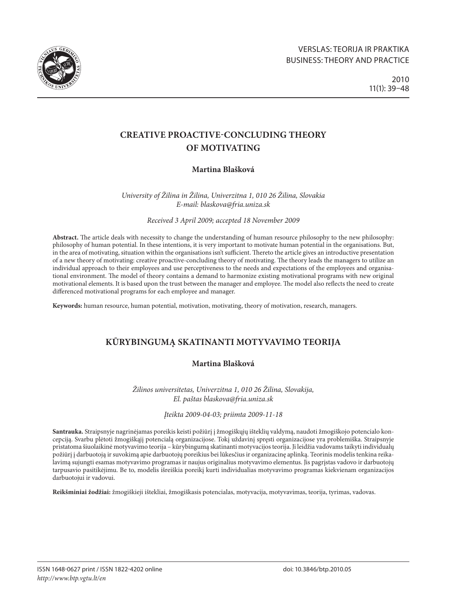

# **Creative Proactive-Concluding Theory of Motivating**

## **Martina Blašková**

*University of Žilina in Žilina, Univerzitna 1, 010 26 Žilina, Slovakia E-mail: [blaskova@fria.uniza.sk](mailto:blaskova@fria.uniza.sk)*

*Received 3 April 2009; accepted 18 November 2009*

**Abstract.** The article deals with necessity to change the understanding of human resource philosophy to the new philosophy: philosophy of human potential. In these intentions, it is very important to motivate human potential in the organisations. But, in the area of motivating, situation within the organisations isn't sufficient. Thereto the article gives an introductive presentation of a new theory of motivating: creative proactive-concluding theory of motivating. The theory leads the managers to utilize an individual approach to their employees and use perceptiveness to the needs and expectations of the employees and organisational environment. The model of theory contains a demand to harmonize existing motivational programs with new original motivational elements. It is based upon the trust between the manager and employee. The model also reflects the need to create differenced motivational programs for each employee and manager.

**Keywords:** human resource, human potential, motivation, motivating, theory of motivation, research, managers.

# **Kūrybingumą skatinanti motyvavimo teorija**

## **Martina Blašková**

*Žilinos universitetas, Univerzitna 1, 010 26 Žilina, Slovakija, El. paštas [blaskova@fria.uniza.sk](mailto:blaskova@fria.uniza.sk)*

### *Įteikta 2009-04-03; priimta 2009-11-18*

**Santrauka.** Straipsnyje nagrinėjamas poreikis keisti požiūrį į žmogiškųjų išteklių valdymą, naudoti žmogiškojo potencialo koncepciją. Svarbu plėtoti žmogiškąjį potencialą organizacijose. Tokį uždavinį spręsti organizacijose yra problemiška. Straipsnyje pristatoma šiuolaikinė motyvavimo teorija – kūrybingumą skatinanti motyvacijos teorija. Ji leidžia vadovams taikyti individualų požiūrį į darbuotoją ir suvokimą apie darbuotojų poreikius bei lūkesčius ir organizacinę aplinką. Teorinis modelis tenkina reikalavimą sujungti esamas motyvavimo programas ir naujus originalius motyvavimo elementus. Jis pagrįstas vadovo ir darbuotojų tarpusavio pasitikėjimu. Be to, modelis išreiškia poreikį kurti individualias motyvavimo programas kiekvienam organizacijos darbuotojui ir vadovui.

**Reikšminiai žodžiai:** žmogiškieji ištekliai, žmogiškasis potencialas, motyvacija, motyvavimas, teorija, tyrimas, vadovas.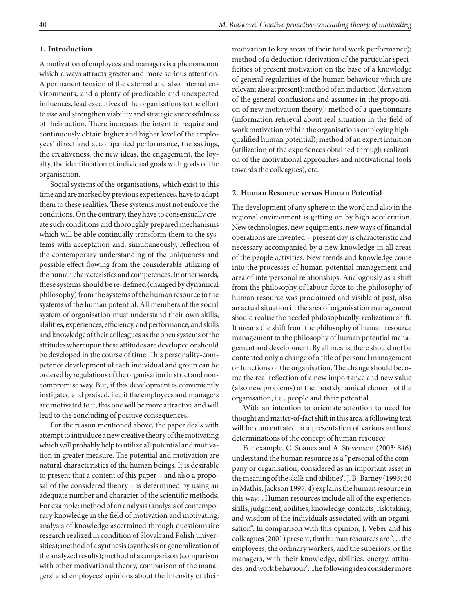#### **1. Introduction**

A motivation of employees and managers is a phenomenon which always attracts greater and more serious attention. A permanent tension of the external and also internal environments, and a plenty of predicable and unexpected influences, lead executives of the organisations to the effort to use and strengthen viability and strategic successfulness of their action. There increases the intent to require and continuously obtain higher and higher level of the employees' direct and accompanied performance, the savings, the creativeness, the new ideas, the engagement, the loyalty, the identification of individual goals with goals of the organisation.

Social systems of the organisations, which exist to this time and are marked by previous experiences, have to adapt them to these realities. These systems must not enforce the conditions. On the contrary, they have to consensually create such conditions and thoroughly prepared mechanisms which will be able continually transform them to the systems with acceptation and, simultaneously, reflection of the contemporary understanding of the uniqueness and possible effect flowing from the considerable utilizing of the human characteristics and competences. In other words, these systems should be re-defined (changed by dynamical philosophy) from the systems of the human resource to the systems of the human potential. All members of the social system of organisation must understand their own skills, abilities, experiences, efficiency, and performance, and skills and knowledge of their colleagues as the open systems of the attitudes whereupon these attitudes are developed or should be developed in the course of time. This personality-competence development of each individual and group can be ordered by regulations of the organisation in strict and noncompromise way. But, if this development is conveniently instigated and praised, i.e., if the employees and managers are motivated to it, this one will be more attractive and will lead to the concluding of positive consequences.

For the reason mentioned above, the paper deals with attempt to introduce a new creative theory of the motivating which will probably help to utilize all potential and motivation in greater measure. The potential and motivation are natural characteristics of the human beings. It is desirable to present that a content of this paper – and also a proposal of the considered theory – is determined by using an adequate number and character of the scientific methods. For example: method of an analysis (analysis of contemporary knowledge in the field of motivation and motivating, analysis of knowledge ascertained through questionnaire research realized in condition of Slovak and Polish universities); method of a synthesis (synthesis or generalization of the analyzed results); method of a comparison (comparison with other motivational theory, comparison of the managers' and employees' opinions about the intensity of their motivation to key areas of their total work performance); method of a deduction (derivation of the particular specificities of present motivation on the base of a knowledge of general regularities of the human behaviour which are relevant also at present); method of an induction (derivation of the general conclusions and assumes in the proposition of new motivation theory); method of a questionnaire (information retrieval about real situation in the field of work motivation within the organisations employing highqualified human potential); method of an expert intuition (utilization of the experiences obtained through realization of the motivational approaches and motivational tools towards the colleagues), etc.

#### **2. Human Resource versus Human Potential**

The development of any sphere in the word and also in the regional environment is getting on by high acceleration. New technologies, new equipments, new ways of financial operations are invented – present day is characteristic and necessary accompanied by a new knowledge in all areas of the people activities. New trends and knowledge come into the processes of human potential management and area of interpersonal relationships. Analogously as a shift from the philosophy of labour force to the philosophy of human resource was proclaimed and visible at past, also an actual situation in the area of organisation management should realise the needed philosophically-realization shift. It means the shift from the philosophy of human resource management to the philosophy of human potential management and development. By all means, there should not be contented only a change of a title of personal management or functions of the organisation. The change should become the real reflection of a new importance and new value (also new problems) of the most dynamical element of the organisation, i.e., people and their potential.

With an intention to orientate attention to need for thought and matter-of-fact shift in this area, a following text will be concentrated to a presentation of various authors' determinations of the concept of human resource.

For example, C. Soanes and A. Stevenson (2003: 846) understand the human resource as a "personal of the company or organisation, considered as an important asset in the meaning of the skills and abilities". J. B. Barney (1995: 50 in Mathis, Jackson 1997: 4) explains the human resource in this way: "Human resources include all of the experience, skills, judgment, abilities, knowledge, contacts, risk taking, and wisdom of the individuals associated with an organisation". In comparison with this opinion, J. Veber and his colleagues (2001) present, that human resources are "… the employees, the ordinary workers, and the superiors, or the managers, with their knowledge, abilities, energy, attitudes, and work behaviour". The following idea consider more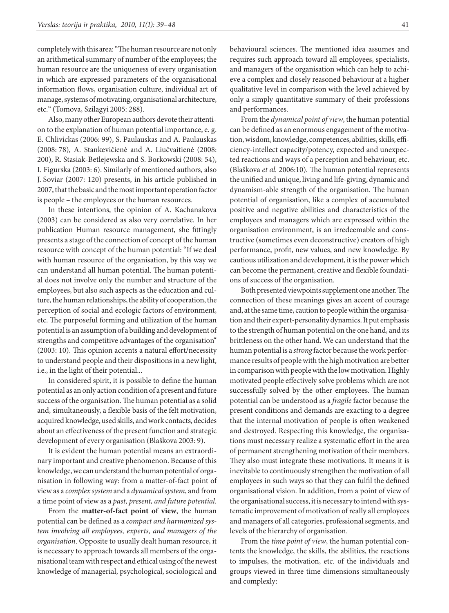completely with this area: "The human resource are not only an arithmetical summary of number of the employees; the human resource are the uniqueness of every organisation in which are expressed parameters of the organisational information flows, organisation culture, individual art of manage, systems of motivating, organisational architecture, etc." (Tomova, Szilagyi 2005: 288).

Also, many other European authors devote their attention to the explanation of human potential importance, e. g. E. Chlivickas (2006: 99), S. Paulauskas and A. Paulauskas (2008: 78), A. Stankevičienė and A. Liučvaitienė (2008: 200), R. Stasiak-Betlejewska and S. Borkowski (2008: 54), I. Figurska (2003: 6). Similarly of mentioned authors, also J. Soviar (2007: 120) presents, in his article published in 2007, that the basic and the most important operation factor is people – the employees or the human resources.

In these intentions, the opinion of A. Kachanakova (2003) can be considered as also very correlative. In her publication Human resource management, she fittingly presents a stage of the connection of concept of the human resource with concept of the human potential: "If we deal with human resource of the organisation, by this way we can understand all human potential. The human potential does not involve only the number and structure of the employees, but also such aspects as the education and culture, the human relationships, the ability of cooperation, the perception of social and ecologic factors of environment, etc. The purposeful forming and utilization of the human potential is an assumption of a building and development of strengths and competitive advantages of the organisation" (2003: 10). This opinion accents a natural effort/necessity to understand people and their dispositions in a new light, i.e., in the light of their potential...

In considered spirit, it is possible to define the human potential as an only action condition of a present and future success of the organisation. The human potential as a solid and, simultaneously, a flexible basis of the felt motivation, acquired knowledge, used skills, and work contacts, decides about an effectiveness of the present function and strategic development of every organisation (Blaškova 2003: 9).

It is evident the human potential means an extraordinary important and creative phenomenon. Because of this knowledge, we can understand the human potential of organisation in following way: from a matter-of-fact point of view as a *complex system* and a *dynamical system*, and from a time point of view as a *past, present, and future potential*.

From the **matter-of-fact point of view**, the human potential can be defined as a *compact and harmonized system involving all employees, experts, and managers of the organisation*. Opposite to usually dealt human resource, it is necessary to approach towards all members of the organisational team with respect and ethical using of the newest knowledge of managerial, psychological, sociological and

behavioural sciences. The mentioned idea assumes and requires such approach toward all employees, specialists, and managers of the organisation which can help to achieve a complex and closely reasoned behaviour at a higher qualitative level in comparison with the level achieved by only a simply quantitative summary of their professions and performances.

From the *dynamical point of view*, the human potential can be defined as an enormous engagement of the motivation, wisdom, knowledge, competences, abilities, skills, efficiency-intellect capacity/potency, expected and unexpected reactions and ways of a perception and behaviour, etc. (Blaškova *et al.* 2006:10). The human potential represents the unified and unique, living and life-giving, dynamic and dynamism-able strength of the organisation. The human potential of organisation, like a complex of accumulated positive and negative abilities and characteristics of the employees and managers which are expressed within the organisation environment, is an irredeemable and constructive (sometimes even deconstructive) creators of high performance, profit, new values, and new knowledge. By cautious utilization and development, it is the power which can become the permanent, creative and flexible foundations of success of the organisation.

Both presented viewpoints supplement one another. The connection of these meanings gives an accent of courage and, at the same time, caution to people within the organisation and their expert-personality dynamics. It put emphasis to the strength of human potential on the one hand, and its brittleness on the other hand. We can understand that the human potential is a *strong* factor because the work performance results of people with the high motivation are better in comparison with people with the low motivation. Highly motivated people effectively solve problems which are not successfully solved by the other employees. The human potential can be understood as a *fragile* factor because the present conditions and demands are exacting to a degree that the internal motivation of people is often weakened and destroyed. Respecting this knowledge, the organisations must necessary realize a systematic effort in the area of permanent strengthening motivation of their members. They also must integrate these motivations. It means it is inevitable to continuously strengthen the motivation of all employees in such ways so that they can fulfil the defined organisational vision. In addition, from a point of view of the organisational success, it is necessary to intend with systematic improvement of motivation of really all employees and managers of all categories, professional segments, and levels of the hierarchy of organisation.

From the *time point of view*, the human potential contents the knowledge, the skills, the abilities, the reactions to impulses, the motivation, etc. of the individuals and groups viewed in three time dimensions simultaneously and complexly: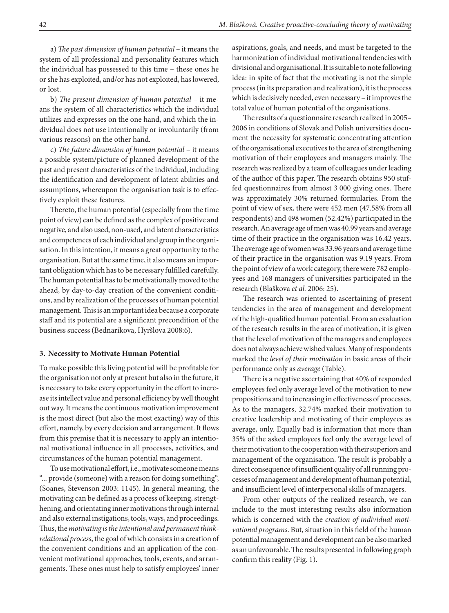a) *The past dimension of human potential* – it means the system of all professional and personality features which the individual has possessed to this time – these ones he or she has exploited, and/or has not exploited, has lowered, or lost.

b) *The present dimension of human potential* – it means the system of all characteristics which the individual utilizes and expresses on the one hand, and which the individual does not use intentionally or involuntarily (from various reasons) on the other hand.

c) *The future dimension of human potential* – it means a possible system/picture of planned development of the past and present characteristics of the individual, including the identification and development of latent abilities and assumptions, whereupon the organisation task is to effectively exploit these features.

Thereto, the human potential (especially from the time point of view) can be defined as the complex of positive and negative, and also used, non-used, and latent characteristics and competences of each individual and group in the organisation. In this intention, it means a great opportunity to the organisation. But at the same time, it also means an important obligation which has to be necessary fulfilled carefully. The human potential has to be motivationally moved to the ahead, by day-to-day creation of the convenient conditions, and by realization of the processes of human potential management. This is an important idea because a corporate staff and its potential are a significant precondition of the business success (Bednarikova, Hyršlova 2008:6).

#### **3. Necessity to Motivate Human Potential**

To make possible this living potential will be profitable for the organisation not only at present but also in the future, it is necessary to take every opportunity in the effort to increase its intellect value and personal efficiency by well thought out way. It means the continuous motivation improvement is the most direct (but also the most exacting) way of this effort, namely, by every decision and arrangement. It flows from this premise that it is necessary to apply an intentional motivational influence in all processes, activities, and circumstances of the human potential management.

To use motivational effort, i.e., motivate someone means "... provide (someone) with a reason for doing something", (Soanes, Stevenson 2003: 1145). In general meaning, the motivating can be defined as a process of keeping, strengthening, and orientating inner motivations through internal and also external instigations, tools, ways, and proceedings. Thus, the *motivating is the intentional and permanent thinkrelational process*, the goal of which consists in a creation of the convenient conditions and an application of the convenient motivational approaches, tools, events, and arrangements. These ones must help to satisfy employees' inner aspirations, goals, and needs, and must be targeted to the harmonization of individual motivational tendencies with divisional and organisational. It is suitable to note following idea: in spite of fact that the motivating is not the simple process (in its preparation and realization), it is the process which is decisively needed, even necessary – it improves the total value of human potential of the organisations.

The results of a questionnaire research realized in 2005– 2006 in conditions of Slovak and Polish universities document the necessity for systematic concentrating attention of the organisational executives to the area of strengthening motivation of their employees and managers mainly. The research was realized by a team of colleagues under leading of the author of this paper. The research obtains 950 stuffed questionnaires from almost 3 000 giving ones. There was approximately 30% returned formularies. From the point of view of sex, there were 452 men (47.58% from all respondents) and 498 women (52.42%) participated in the research. An average age of men was 40.99 years and average time of their practice in the organisation was 16.42 years. The average age of women was 33.96 years and average time of their practice in the organisation was 9.19 years. From the point of view of a work category, there were 782 employees and 168 managers of universities participated in the research (Blaškova *et al.* 2006: 25).

The research was oriented to ascertaining of present tendencies in the area of management and development of the high-qualified human potential. From an evaluation of the research results in the area of motivation, it is given that the level of motivation of the managers and employees does not always achieve wished values. Many of respondents marked the *level of their motivation* in basic areas of their performance only as *average* (Table).

There is a negative ascertaining that 40% of responded employees feel only average level of the motivation to new propositions and to increasing in effectiveness of processes. As to the managers, 32.74% marked their motivation to creative leadership and motivating of their employees as average, only. Equally bad is information that more than 35% of the asked employees feel only the average level of their motivation to the cooperation with their superiors and management of the organisation. The result is probably a direct consequence of insufficient quality of all running processes of management and development of human potential, and insufficient level of interpersonal skills of managers.

From other outputs of the realized research, we can include to the most interesting results also information which is concerned with the *creation of individual motivational programs*. But, situation in this field of the human potential management and development can be also marked as an unfavourable. The results presented in following graph confirm this reality (Fig. 1).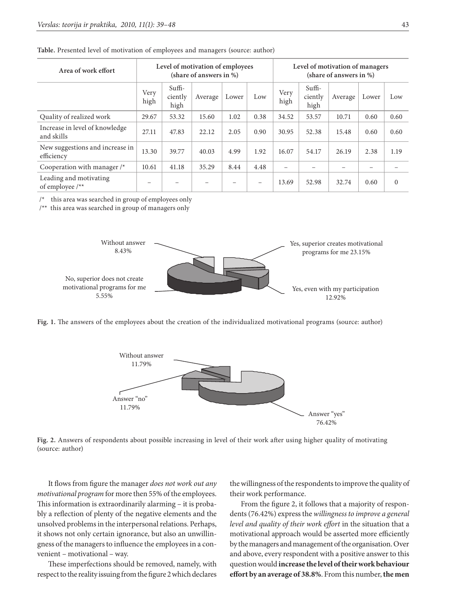| Area of work effort                           | Level of motivation of employees<br>(share of answers in %) |                             |                          |                          |                          | Level of motivation of managers<br>(share of answers in $\%$ ) |                             |         |       |              |
|-----------------------------------------------|-------------------------------------------------------------|-----------------------------|--------------------------|--------------------------|--------------------------|----------------------------------------------------------------|-----------------------------|---------|-------|--------------|
|                                               | Very<br>high                                                | $Suffi-$<br>ciently<br>high | Average                  | Lower                    | Low                      | Very<br>high                                                   | $Suffi-$<br>ciently<br>high | Average | Lower | Low          |
| Quality of realized work                      | 29.67                                                       | 53.32                       | 15.60                    | 1.02                     | 0.38                     | 34.52                                                          | 53.57                       | 10.71   | 0.60  | 0.60         |
| Increase in level of knowledge<br>and skills  | 27.11                                                       | 47.83                       | 22.12                    | 2.05                     | 0.90                     | 30.95                                                          | 52.38                       | 15.48   | 0.60  | 0.60         |
| New suggestions and increase in<br>efficiency | 13.30                                                       | 39.77                       | 40.03                    | 4.99                     | 1.92                     | 16.07                                                          | 54.17                       | 26.19   | 2.38  | 1.19         |
| Cooperation with manager $/*$                 | 10.61                                                       | 41.18                       | 35.29                    | 8.44                     | 4.48                     |                                                                |                             |         |       |              |
| Leading and motivating<br>of employee /**     | $\qquad \qquad -$                                           | $\overline{\phantom{0}}$    | $\overline{\phantom{0}}$ | $\overline{\phantom{0}}$ | $\overline{\phantom{a}}$ | 13.69                                                          | 52.98                       | 32.74   | 0.60  | $\mathbf{0}$ |

**Table.** Presented level of motivation of employees and managers (source: author)

/\* this area was searched in group of employees only

/\*\* this area was searched in group of managers only



**Fig. 1.** The answers of the employees about the creation of the individualized motivational programs (source: author)



**Fig. 2.** Answers of respondents about possible increasing in level of their work after using higher quality of motivating (source: author)

It flows from figure the manager *does not work out any motivational program* for more then 55% of the employees. This information is extraordinarily alarming – it is probably a reflection of plenty of the negative elements and the unsolved problems in the interpersonal relations. Perhaps, it shows not only certain ignorance, but also an unwillingness of the managers to influence the employees in a convenient – motivational – way.

These imperfections should be removed, namely, with respect to the reality issuing from the figure 2 which declares the willingness of the respondents to improve the quality of their work performance.

From the figure 2, it follows that a majority of respondents (76.42%) express the *willingness to improve a general level and quality of their work effort* in the situation that a motivational approach would be asserted more efficiently by the managers and management of the organisation. Over and above, every respondent with a positive answer to this question would **increase the level of their work behaviour effort by an average of 38.8%**. From this number, **the men**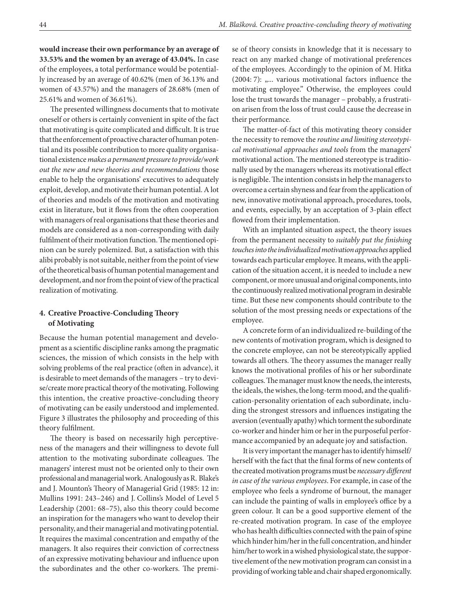**would increase their own performance by an average of 33.53% and the women by an average of 43.04%.** In case of the employees, a total performance would be potentially increased by an average of 40.62% (men of 36.13% and women of 43.57%) and the managers of 28.68% (men of 25.61% and women of 36.61%).

The presented willingness documents that to motivate oneself or others is certainly convenient in spite of the fact that motivating is quite complicated and difficult. It is true that the enforcement of proactive character of human potential and its possible contribution to more quality organisational existence *makes a permanent pressure to provide/work out the new and new theories and recommendations* those enable to help the organisations' executives to adequately exploit, develop, and motivate their human potential. A lot of theories and models of the motivation and motivating exist in literature, but it flows from the often cooperation with managers of real organisations that these theories and models are considered as a non-corresponding with daily fulfilment of their motivation function. The mentioned opinion can be surely polemized. But, a satisfaction with this alibi probably is not suitable, neither from the point of view of the theoretical basis of human potential management and development, and nor from the point of view of the practical realization of motivating.

### **4. Creative Proactive-Concluding Theory of Motivating**

Because the human potential management and development as a scientific discipline ranks among the pragmatic sciences, the mission of which consists in the help with solving problems of the real practice (often in advance), it is desirable to meet demands of the managers – try to devise/create more practical theory of the motivating. Following this intention, the creative proactive-concluding theory of motivating can be easily understood and implemented. Figure 3 illustrates the philosophy and proceeding of this theory fulfilment.

The theory is based on necessarily high perceptiveness of the managers and their willingness to devote full attention to the motivating subordinate colleagues. The managers' interest must not be oriented only to their own professional and managerial work. Analogously as R. Blake's and J. Mounton's Theory of Managerial Grid (1985: 12 in: Mullins 1991: 243–246) and J. Collins's Model of Level 5 Leadership (2001: 68–75), also this theory could become an inspiration for the managers who want to develop their personality, and their managerial and motivating potential. It requires the maximal concentration and empathy of the managers. It also requires their conviction of correctness of an expressive motivating behaviour and influence upon the subordinates and the other co-workers. The premise of theory consists in knowledge that it is necessary to react on any marked change of motivational preferences of the employees. Accordingly to the opinion of M. Hitka (2004: 7):  $, \ldots$  various motivational factors influence the motivating employee." Otherwise, the employees could lose the trust towards the manager – probably, a frustration arisen from the loss of trust could cause the decrease in their performance.

The matter-of-fact of this motivating theory consider the necessity to remove the *routine and limiting stereotypical motivational approaches and tools* from the managers' motivational action. The mentioned stereotype is traditionally used by the managers whereas its motivational effect is negligible. The intention consists in help the managers to overcome a certain shyness and fear from the application of new, innovative motivational approach, procedures, tools, and events, especially, by an acceptation of 3-plain effect flowed from their implementation.

With an implanted situation aspect, the theory issues from the permanent necessity to *suitably put the finishing touches into the individualized motivation approaches* applied towards each particular employee. It means, with the application of the situation accent, it is needed to include a new component, or more unusual and original components, into the continuously realized motivational program in desirable time. But these new components should contribute to the solution of the most pressing needs or expectations of the employee.

A concrete form of an individualized re-building of the new contents of motivation program, which is designed to the concrete employee, can not be stereotypically applied towards all others. The theory assumes the manager really knows the motivational profiles of his or her subordinate colleagues. The manager must know the needs, the interests, the ideals, the wishes, the long-term mood, and the qualification-personality orientation of each subordinate, including the strongest stressors and influences instigating the aversion (eventually apathy) which torment the subordinate co-worker and hinder him or her in the purposeful performance accompanied by an adequate joy and satisfaction.

It is very important the manager has to identify himself/ herself with the fact that the final forms of new contents of the created motivation programs must be *necessary different in case of the various employees*. For example, in case of the employee who feels a syndrome of burnout, the manager can include the painting of walls in employee's office by a green colour. It can be a good supportive element of the re-created motivation program. In case of the employee who has health difficulties connected with the pain of spine which hinder him/her in the full concentration, and hinder him/her to work in a wished physiological state, the supportive element of the new motivation program can consist in a providing of working table and chair shaped ergonomically.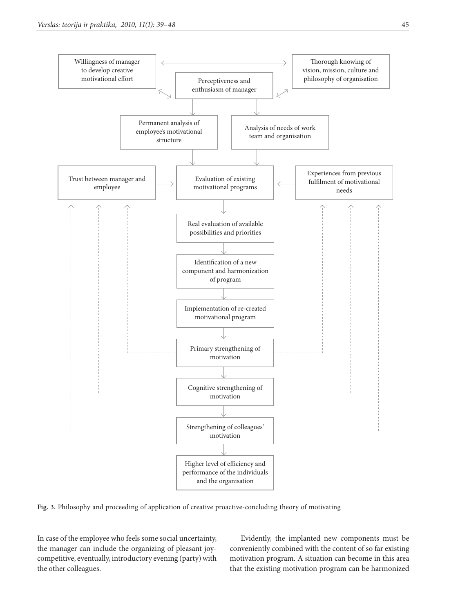

**Fig. 3.** Philosophy and proceeding of application of creative proactive-concluding theory of motivating

In case of the employee who feels some social uncertainty, the manager can include the organizing of pleasant joycompetitive, eventually, introductory evening (party) with the other colleagues.

Evidently, the implanted new components must be conveniently combined with the content of so far existing motivation program. A situation can become in this area that the existing motivation program can be harmonized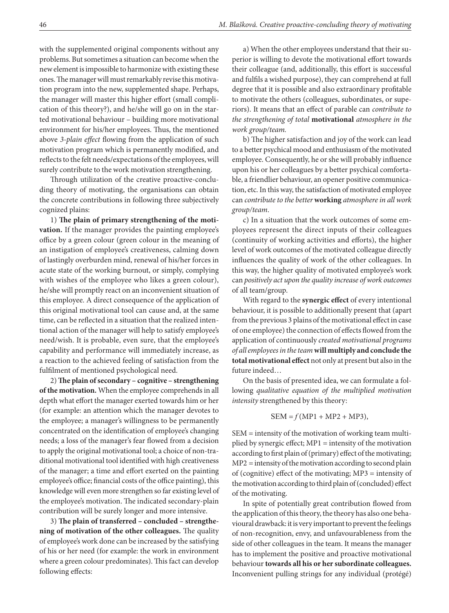with the supplemented original components without any problems. But sometimes a situation can become when the new element is impossible to harmonize with existing these ones. The manager will must remarkably revise this motivation program into the new, supplemented shape. Perhaps, the manager will master this higher effort (small complication of this theory?), and he/she will go on in the started motivational behaviour – building more motivational environment for his/her employees. Thus, the mentioned above *3-plain effect* flowing from the application of such motivation program which is permanently modified, and reflects to the felt needs/expectations of the employees, will surely contribute to the work motivation strengthening.

Through utilization of the creative proactive-concluding theory of motivating, the organisations can obtain the concrete contributions in following three subjectively cognized plains:

1) **The plain of primary strengthening of the motivation.** If the manager provides the painting employee's office by a green colour (green colour in the meaning of an instigation of employee's creativeness, calming down of lastingly overburden mind, renewal of his/her forces in acute state of the working burnout, or simply, complying with wishes of the employee who likes a green colour), he/she will promptly react on an inconvenient situation of this employee. A direct consequence of the application of this original motivational tool can cause and, at the same time, can be reflected in a situation that the realized intentional action of the manager will help to satisfy employee's need/wish. It is probable, even sure, that the employee's capability and performance will immediately increase, as a reaction to the achieved feeling of satisfaction from the fulfilment of mentioned psychological need.

2) **The plain of secondary – cognitive – strengthening of the motivation.** When the employee comprehends in all depth what effort the manager exerted towards him or her (for example: an attention which the manager devotes to the employee; a manager's willingness to be permanently concentrated on the identification of employee's changing needs; a loss of the manager's fear flowed from a decision to apply the original motivational tool; a choice of non-traditional motivational tool identified with high creativeness of the manager; a time and effort exerted on the painting employee's office; financial costs of the office painting), this knowledge will even more strengthen so far existing level of the employee's motivation. The indicated secondary-plain contribution will be surely longer and more intensive.

3) **The plain of transferred – concluded – strengthening of motivation of the other colleagues.** The quality of employee's work done can be increased by the satisfying of his or her need (for example: the work in environment where a green colour predominates). This fact can develop following effects:

a) When the other employees understand that their superior is willing to devote the motivational effort towards their colleague (and, additionally, this effort is successful and fulfils a wished purpose), they can comprehend at full degree that it is possible and also extraordinary profitable to motivate the others (colleagues, subordinates, or superiors). It means that an effect of parable can *contribute to the strengthening of total* **motivational** *atmosphere in the work group/team.*

b) The higher satisfaction and joy of the work can lead to a better psychical mood and enthusiasm of the motivated employee. Consequently, he or she will probably influence upon his or her colleagues by a better psychical comfortable, a friendlier behaviour, an opener positive communication, etc. In this way, the satisfaction of motivated employee can *contribute to the better* **working** *atmosphere in all work group/team*.

c) In a situation that the work outcomes of some employees represent the direct inputs of their colleagues (continuity of working activities and efforts), the higher level of work outcomes of the motivated colleague directly influences the quality of work of the other colleagues. In this way, the higher quality of motivated employee's work can *positively act upon the quality increase of work outcomes*  of all team/group.

With regard to the **synergic effect** of every intentional behaviour, it is possible to additionally present that (apart from the previous 3 plains of the motivational effect in case of one employee) the connection of effects flowed from the application of continuously *created motivational programs of all employees in the team* **will multiply and conclude the total motivational effect** not only at present but also in the future indeed…

On the basis of presented idea, we can formulate a following *qualitative equation of the multiplied motivation intensity* strengthened by this theory:

$$
SEM = f(MP1 + MP2 + MP3),
$$

SEM = intensity of the motivation of working team multiplied by synergic effect; MP1 = intensity of the motivation according to first plain of (primary) effect of the motivating; MP2 = intensity of the motivation according to second plain of (cognitive) effect of the motivating; MP3 = intensity of the motivation according to third plain of (concluded) effect of the motivating.

In spite of potentially great contribution flowed from the application of this theory, the theory has also one behavioural drawback: it is very important to prevent the feelings of non-recognition, envy, and unfavourableness from the side of other colleagues in the team. It means the manager has to implement the positive and proactive motivational behaviour **towards all his or her subordinate colleagues.** Inconvenient pulling strings for any individual (protégé)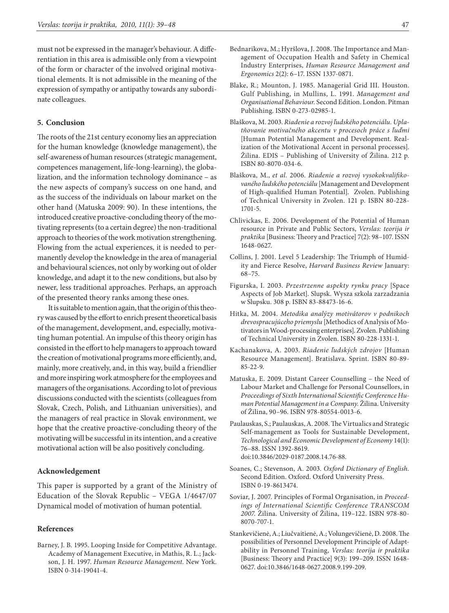must not be expressed in the manager's behaviour. A differentiation in this area is admissible only from a viewpoint of the form or character of the involved original motivational elements. It is not admissible in the meaning of the expression of sympathy or antipathy towards any subordinate colleagues.

#### **5. Conclusion**

The roots of the 21st century economy lies an appreciation for the human knowledge (knowledge management), the self-awareness of human resources (strategic management, competences management, life-long-learning), the globalization, and the information technology dominance – as the new aspects of company's success on one hand, and as the success of the individuals on labour market on the other hand (Matuska 2009: 90). In these intentions, the introduced creative proactive-concluding theory of the motivating represents (to a certain degree) the non-traditional approach to theories of the work motivation strengthening. Flowing from the actual experiences, it is needed to permanently develop the knowledge in the area of managerial and behavioural sciences, not only by working out of older knowledge, and adapt it to the new conditions, but also by newer, less traditional approaches. Perhaps, an approach of the presented theory ranks among these ones.

It is suitable to mention again, that the origin of this theory was caused by the effort to enrich present theoretical basis of the management, development, and, especially, motivating human potential. An impulse of this theory origin has consisted in the effort to help managers to approach toward the creation of motivational programs more efficiently, and, mainly, more creatively, and, in this way, build a friendlier and more inspiring work atmosphere for the employees and managers of the organisations. According to lot of previous discussions conducted with the scientists (colleagues from Slovak, Czech, Polish, and Lithuanian universities), and the managers of real practice in Slovak environment, we hope that the creative proactive-concluding theory of the motivating will be successful in its intention, and a creative motivational action will be also positively concluding.

#### **Acknowledgement**

This paper is supported by a grant of the Ministry of Education of the Slovak Republic – VEGA 1/4647/07 Dynamical model of motivation of human potential.

#### **References**

Barney, J. B. 1995. Looping Inside for Competitive Advantage. Academy of Management Executive, in Mathis, R. L.; Jackson, J. H. 1997. *Human Resource Management.* New York. ISBN 0-314-19041-4.

- Bednarikova, M.; Hyršlova, J. 2008. The Importance and Management of Occupation Health and Safety in Chemical Industry Enterprises, *Human Resource Management and Ergonomics* 2(2): 6–17. ISSN 1337-0871.
- Blake, R.; Mounton, J. 1985. Managerial Grid III. Houston. Gulf Publishing, in Mullins, L. 1991. *Management and Organisational Behaviour.* Second Edition. London. Pitman Publishing. ISBN 0-273-02985-1.
- Blaškova, M. 2003. *Riadenie a rozvoj ľudského potenciálu. Uplatňovanie motivačného akcentu v procesoch práce s ľuďmi* [Human Potential Management and Development. Realization of the Motivational Accent in personal processes]. Žilina. EDIS – Publishing of University of Žilina. 212 p. ISBN 80-8070-034-6.
- Blaškova, M., *et al.* 2006. *Riadenie a rozvoj vysokokvalifikovaného ľudského potenciálu* [Management and Development of High-qualified Human Potential]. Zvolen. Publishing of Technical University in Zvolen. 121 p. ISBN 80-228- 1701-5.
- Chlivickas, E. 2006. Development of the Potential of Human resource in Private and Public Sectors, *Verslas: teorija ir praktika* [Business: Theory and Practice] 7(2): 98–107. ISSN 1648-0627.
- Collins, J. 2001. Level 5 Leadership: The Triumph of Humidity and Fierce Resolve, *Harvard Business Review* January: 68–75.
- Figurska, I. 2003. *Przestrzenne aspekty rynku pracy* [Space Aspects of Job Market]. Slupsk. Wysza szkola zarzadzania w Slupsku. 308 p. ISBN 83-88473-16-6.
- Hitka, M. 2004. *Metodika analýzy motivátorov v podnikoch drevospracujúceho priemyslu* [Methodics of Analysis of Motivators in Wood-processing enterprises]. Zvolen. Publishing of Technical University in Zvolen. ISBN 80-228-1331-1.
- Kachanakova, A. 2003. *Riadenie ľudských zdrojov* [Human Resource Management]. Bratislava. Sprint. ISBN 80-89- 85-22-9.
- Matuska, E. 2009. Distant Career Counselling the Need of Labour Market and Challenge for Personal Counsellors, in *Proceedings of Sixth International Scientific Conference Human Potential Management in a Company.* Žilina. University of Žilina, 90–96. ISBN 978-80554-0013-6.
- Paulauskas, S.; Paulauskas, A. 2008. The Virtualics and Strategic Self-management as Tools for Sustainable Development, *Technological and Economic Development of Economy* 14(1): 76–88. ISSN 1392-8619. [doi:10.3846/2029-0187.2008.14.76-88.](http://dx.doi.org/10.3846/2029-0187.2008.14.76-88" \o "http://dx.doi.org/10.3846/2029-0187.2008.14.76-88" \t "_blank)
- Soanes, C.; Stevenson, A. 2003. *Oxford Dictionary of English.*  Second Edition. Oxford. Oxford University Press. ISBN 0-19-8613474.
- Soviar, J. 2007. Principles of Formal Organisation, in *Proceedings of International Scientific Conference TRANSCOM 2007*. Žilina. University of Žilina, 119–122. ISBN 978-80- 8070-707-1.
- Stankevičienė, A.; Liučvaitienė, A.; Volungevičienė, D. 2008. The possibilities of Personnel Development Principle of Adaptability in Personnel Training, *Verslas: teorija ir praktika* [Business: Theory and Practice] 9(3): 199–209. ISSN 1648- 0627. [doi:10.3846/1648-0627.2008.9.199-209](http://dx.doi.org/10.3846/1648-0627.2008.9.199-209" \o "http://dx.doi.org/10.3846/1648-0627.2008.9.199-209).